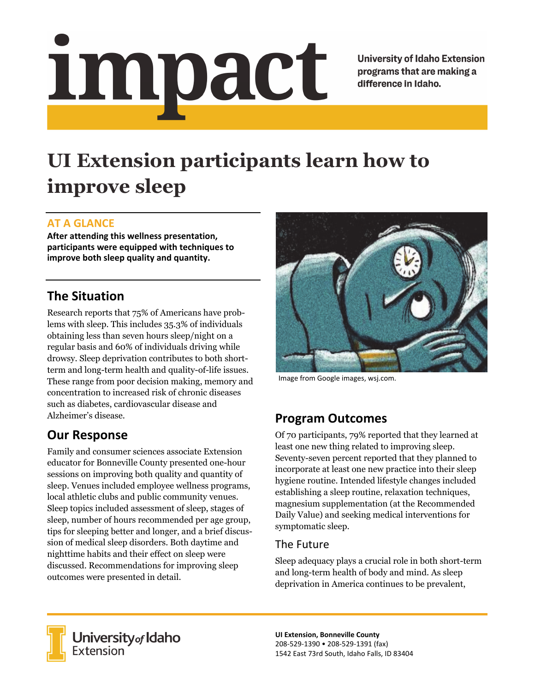# <u>impact</u>

**University of Idaho Extension** programs that are making a difference in Idaho.

# **UI Extension participants learn how to improve sleep**

### **AT A GLANCE**

**After attending this wellness presentation, participants were equipped with techniques to improve both sleep quality and quantity.** 

## **The Situation**

Research reports that 75% of Americans have problems with sleep. This includes 35.3% of individuals obtaining less than seven hours sleep/night on a regular basis and 60% of individuals driving while drowsy. Sleep deprivation contributes to both shortterm and long-term health and quality-of-life issues. These range from poor decision making, memory and concentration to increased risk of chronic diseases such as diabetes, cardiovascular disease and Alzheimer's disease.

### **Our Response**

Family and consumer sciences associate Extension educator for Bonneville County presented one-hour sessions on improving both quality and quantity of sleep. Venues included employee wellness programs, local athletic clubs and public community venues. Sleep topics included assessment of sleep, stages of sleep, number of hours recommended per age group, tips for sleeping better and longer, and a brief discussion of medical sleep disorders. Both daytime and nighttime habits and their effect on sleep were discussed. Recommendations for improving sleep outcomes were presented in detail.



Image from Google images, wsj.com.

## **Program Outcomes**

Of 70 participants, 79% reported that they learned at least one new thing related to improving sleep. Seventy-seven percent reported that they planned to incorporate at least one new practice into their sleep hygiene routine. Intended lifestyle changes included establishing a sleep routine, relaxation techniques, magnesium supplementation (at the Recommended Daily Value) and seeking medical interventions for symptomatic sleep.

### The Future

Sleep adequacy plays a crucial role in both short-term and long-term health of body and mind. As sleep deprivation in America continues to be prevalent,



**University** of Idaho<br>Extension

**UI Extension, Bonneville County**  208‐529‐1390 • 208‐529‐1391 (fax) 1542 East 73rd South, Idaho Falls, ID 83404